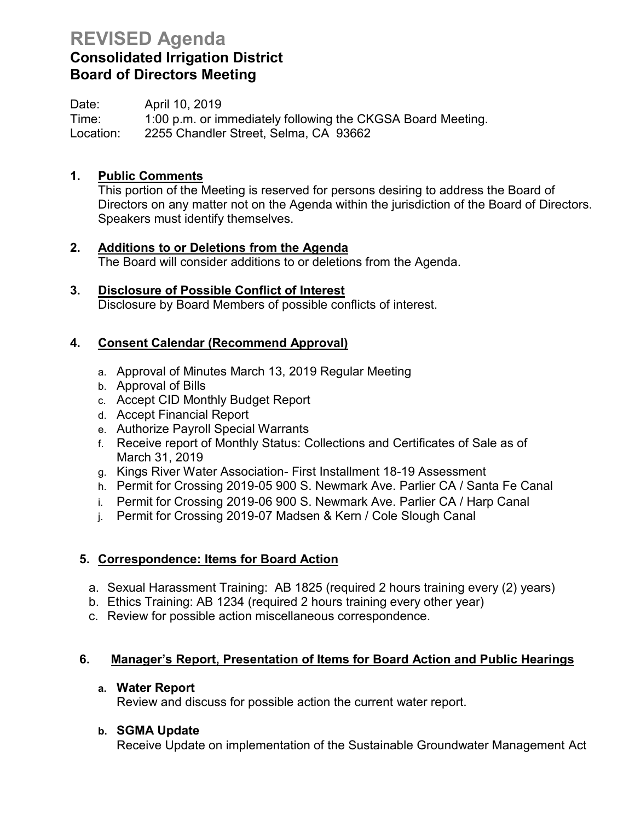# **REVISED Agenda**

## **Consolidated Irrigation District Board of Directors Meeting**

Date: April 10, 2019 Time: 1:00 p.m. or immediately following the CKGSA Board Meeting. Location: 2255 Chandler Street, Selma, CA 93662

## **1. Public Comments**

This portion of the Meeting is reserved for persons desiring to address the Board of Directors on any matter not on the Agenda within the jurisdiction of the Board of Directors. Speakers must identify themselves.

- **2. Additions to or Deletions from the Agenda** The Board will consider additions to or deletions from the Agenda.
- **3. Disclosure of Possible Conflict of Interest** Disclosure by Board Members of possible conflicts of interest.

## **4. Consent Calendar (Recommend Approval)**

- a. Approval of Minutes March 13, 2019 Regular Meeting
- b. Approval of Bills
- c. Accept CID Monthly Budget Report
- d. Accept Financial Report
- e. Authorize Payroll Special Warrants
- f. Receive report of Monthly Status: Collections and Certificates of Sale as of March 31, 2019
- g. Kings River Water Association- First Installment 18-19 Assessment
- h. Permit for Crossing 2019-05 900 S. Newmark Ave. Parlier CA / Santa Fe Canal
- i. Permit for Crossing 2019-06 900 S. Newmark Ave. Parlier CA / Harp Canal
- j. Permit for Crossing 2019-07 Madsen & Kern / Cole Slough Canal

## **5. Correspondence: Items for Board Action**

- a. Sexual Harassment Training: AB 1825 (required 2 hours training every (2) years)
- b. Ethics Training: AB 1234 (required 2 hours training every other year)
- c. Review for possible action miscellaneous correspondence.

## **6. Manager's Report, Presentation of Items for Board Action and Public Hearings**

#### **a. Water Report**

Review and discuss for possible action the current water report.

## **b. SGMA Update**

Receive Update on implementation of the Sustainable Groundwater Management Act